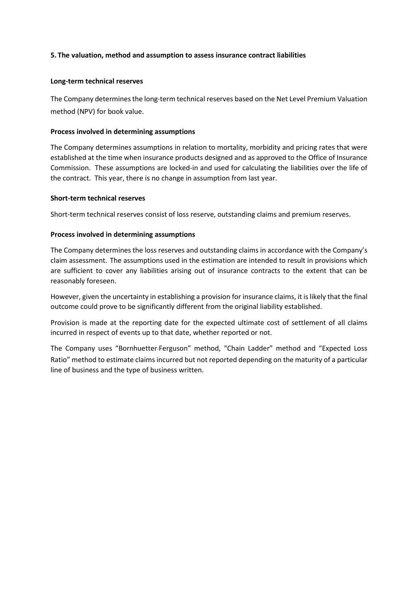# **5. The valuation, method and assumption to assess insurance contract liabilities**

## **Long-term technical reserves**

The Company determines the long-term technical reserves based on the Net Level Premium Valuation method (NPV) for book value.

## **Process involved in determining assumptions**

The Company determines assumptions in relation to mortality, morbidity and pricing rates that were established at the time when insurance products designed and as approved to the Office of Insurance Commission. These assumptions are locked-in and used for calculating the liabilities over the life of the contract. This year, there is no change in assumption from last year.

## **Short-term technical reserves**

Short-term technical reserves consist of loss reserve, outstanding claims and premium reserves.

## **Process involved in determining assumptions**

The Company determines the loss reserves and outstanding claims in accordance with the Company's claim assessment. The assumptions used in the estimation are intended to result in provisions which are sufficient to cover any liabilities arising out of insurance contracts to the extent that can be reasonably foreseen.

However, given the uncertainty in establishing a provision for insurance claims, it is likely that the final outcome could prove to be significantly different from the original liability established.

Provision is made at the reporting date for the expected ultimate cost of settlement of all claims incurred in respect of events up to that date, whether reported or not.

The Company uses "Bornhuetter-Ferguson" method, "Chain Ladder" method and "Expected Loss Ratio" method to estimate claims incurred but not reported depending on the maturity of a particular line of business and the type of business written.